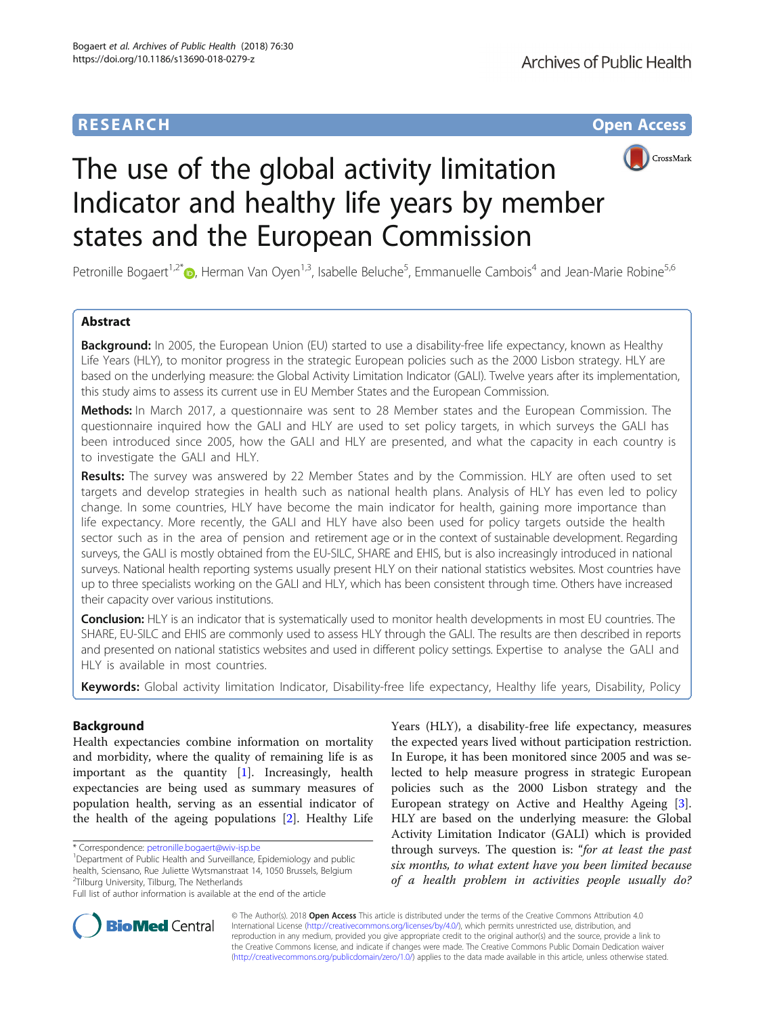# **RESEARCH CHE Open Access**



# The use of the global activity limitation Indicator and healthy life years by member states and the European Commission

Petronille Bogaert<sup>1[,](http://orcid.org/0000-0002-6983-9571)2\*</sup>®, Herman Van Oyen<sup>1,3</sup>, Isabelle Beluche<sup>5</sup>, Emmanuelle Cambois<sup>4</sup> and Jean-Marie Robine<sup>5,6</sup>

# Abstract

**Background:** In 2005, the European Union (EU) started to use a disability-free life expectancy, known as Healthy Life Years (HLY), to monitor progress in the strategic European policies such as the 2000 Lisbon strategy. HLY are based on the underlying measure: the Global Activity Limitation Indicator (GALI). Twelve years after its implementation, this study aims to assess its current use in EU Member States and the European Commission.

Methods: In March 2017, a questionnaire was sent to 28 Member states and the European Commission. The questionnaire inquired how the GALI and HLY are used to set policy targets, in which surveys the GALI has been introduced since 2005, how the GALI and HLY are presented, and what the capacity in each country is to investigate the GALI and HLY.

Results: The survey was answered by 22 Member States and by the Commission. HLY are often used to set targets and develop strategies in health such as national health plans. Analysis of HLY has even led to policy change. In some countries, HLY have become the main indicator for health, gaining more importance than life expectancy. More recently, the GALI and HLY have also been used for policy targets outside the health sector such as in the area of pension and retirement age or in the context of sustainable development. Regarding surveys, the GALI is mostly obtained from the EU-SILC, SHARE and EHIS, but is also increasingly introduced in national surveys. National health reporting systems usually present HLY on their national statistics websites. Most countries have up to three specialists working on the GALI and HLY, which has been consistent through time. Others have increased their capacity over various institutions.

Conclusion: HLY is an indicator that is systematically used to monitor health developments in most EU countries. The SHARE, EU-SILC and EHIS are commonly used to assess HLY through the GALI. The results are then described in reports and presented on national statistics websites and used in different policy settings. Expertise to analyse the GALI and HLY is available in most countries.

Keywords: Global activity limitation Indicator, Disability-free life expectancy, Healthy life years, Disability, Policy

# Background

Health expectancies combine information on mortality and morbidity, where the quality of remaining life is as important as the quantity [[1\]](#page-5-0). Increasingly, health expectancies are being used as summary measures of population health, serving as an essential indicator of the health of the ageing populations [\[2\]](#page-5-0). Healthy Life

Years (HLY), a disability-free life expectancy, measures the expected years lived without participation restriction. In Europe, it has been monitored since 2005 and was selected to help measure progress in strategic European policies such as the 2000 Lisbon strategy and the European strategy on Active and Healthy Ageing [\[3](#page-5-0)]. HLY are based on the underlying measure: the Global Activity Limitation Indicator (GALI) which is provided through surveys. The question is: "for at least the past six months, to what extent have you been limited because of a health problem in activities people usually do?



© The Author(s). 2018 Open Access This article is distributed under the terms of the Creative Commons Attribution 4.0 International License [\(http://creativecommons.org/licenses/by/4.0/](http://creativecommons.org/licenses/by/4.0/)), which permits unrestricted use, distribution, and reproduction in any medium, provided you give appropriate credit to the original author(s) and the source, provide a link to the Creative Commons license, and indicate if changes were made. The Creative Commons Public Domain Dedication waiver [\(http://creativecommons.org/publicdomain/zero/1.0/](http://creativecommons.org/publicdomain/zero/1.0/)) applies to the data made available in this article, unless otherwise stated.

<sup>\*</sup> Correspondence: [petronille.bogaert@wiv-isp.be](mailto:petronille.bogaert@wiv-isp.be) <sup>1</sup>

<sup>&</sup>lt;sup>1</sup>Department of Public Health and Surveillance, Epidemiology and public health, Sciensano, Rue Juliette Wytsmanstraat 14, 1050 Brussels, Belgium <sup>2</sup>Tilburg University, Tilburg, The Netherlands

Full list of author information is available at the end of the article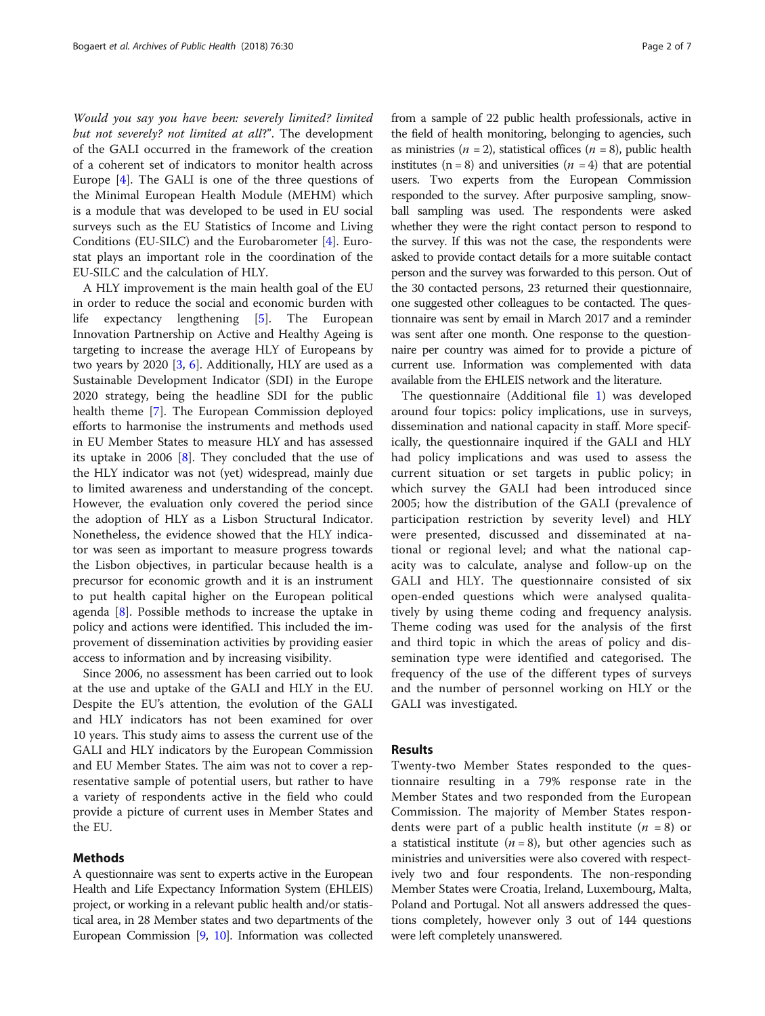Would you say you have been: severely limited? limited but not severely? not limited at all?". The development of the GALI occurred in the framework of the creation of a coherent set of indicators to monitor health across Europe [\[4](#page-5-0)]. The GALI is one of the three questions of the Minimal European Health Module (MEHM) which is a module that was developed to be used in EU social surveys such as the EU Statistics of Income and Living Conditions (EU-SILC) and the Eurobarometer [[4\]](#page-5-0). Eurostat plays an important role in the coordination of the EU-SILC and the calculation of HLY.

A HLY improvement is the main health goal of the EU in order to reduce the social and economic burden with life expectancy lengthening [\[5](#page-5-0)]. The European Innovation Partnership on Active and Healthy Ageing is targeting to increase the average HLY of Europeans by two years by 2020  $[3, 6]$  $[3, 6]$  $[3, 6]$  $[3, 6]$ . Additionally, HLY are used as a Sustainable Development Indicator (SDI) in the Europe 2020 strategy, being the headline SDI for the public health theme [\[7](#page-5-0)]. The European Commission deployed efforts to harmonise the instruments and methods used in EU Member States to measure HLY and has assessed its uptake in 2006 [[8\]](#page-5-0). They concluded that the use of the HLY indicator was not (yet) widespread, mainly due to limited awareness and understanding of the concept. However, the evaluation only covered the period since the adoption of HLY as a Lisbon Structural Indicator. Nonetheless, the evidence showed that the HLY indicator was seen as important to measure progress towards the Lisbon objectives, in particular because health is a precursor for economic growth and it is an instrument to put health capital higher on the European political agenda  $[8]$  $[8]$ . Possible methods to increase the uptake in policy and actions were identified. This included the improvement of dissemination activities by providing easier access to information and by increasing visibility.

Since 2006, no assessment has been carried out to look at the use and uptake of the GALI and HLY in the EU. Despite the EU's attention, the evolution of the GALI and HLY indicators has not been examined for over 10 years. This study aims to assess the current use of the GALI and HLY indicators by the European Commission and EU Member States. The aim was not to cover a representative sample of potential users, but rather to have a variety of respondents active in the field who could provide a picture of current uses in Member States and the EU.

## Methods

A questionnaire was sent to experts active in the European Health and Life Expectancy Information System (EHLEIS) project, or working in a relevant public health and/or statistical area, in 28 Member states and two departments of the European Commission [\[9](#page-5-0), [10\]](#page-5-0). Information was collected

from a sample of 22 public health professionals, active in the field of health monitoring, belonging to agencies, such as ministries ( $n = 2$ ), statistical offices ( $n = 8$ ), public health institutes (n = 8) and universities ( $n = 4$ ) that are potential users. Two experts from the European Commission responded to the survey. After purposive sampling, snowball sampling was used. The respondents were asked whether they were the right contact person to respond to the survey. If this was not the case, the respondents were asked to provide contact details for a more suitable contact person and the survey was forwarded to this person. Out of the 30 contacted persons, 23 returned their questionnaire, one suggested other colleagues to be contacted. The questionnaire was sent by email in March 2017 and a reminder was sent after one month. One response to the questionnaire per country was aimed for to provide a picture of current use. Information was complemented with data available from the EHLEIS network and the literature.

The questionnaire (Additional file [1\)](#page-5-0) was developed around four topics: policy implications, use in surveys, dissemination and national capacity in staff. More specifically, the questionnaire inquired if the GALI and HLY had policy implications and was used to assess the current situation or set targets in public policy; in which survey the GALI had been introduced since 2005; how the distribution of the GALI (prevalence of participation restriction by severity level) and HLY were presented, discussed and disseminated at national or regional level; and what the national capacity was to calculate, analyse and follow-up on the GALI and HLY. The questionnaire consisted of six open-ended questions which were analysed qualitatively by using theme coding and frequency analysis. Theme coding was used for the analysis of the first and third topic in which the areas of policy and dissemination type were identified and categorised. The frequency of the use of the different types of surveys and the number of personnel working on HLY or the GALI was investigated.

# Results

Twenty-two Member States responded to the questionnaire resulting in a 79% response rate in the Member States and two responded from the European Commission. The majority of Member States respondents were part of a public health institute  $(n = 8)$  or a statistical institute ( $n = 8$ ), but other agencies such as ministries and universities were also covered with respectively two and four respondents. The non-responding Member States were Croatia, Ireland, Luxembourg, Malta, Poland and Portugal. Not all answers addressed the questions completely, however only 3 out of 144 questions were left completely unanswered.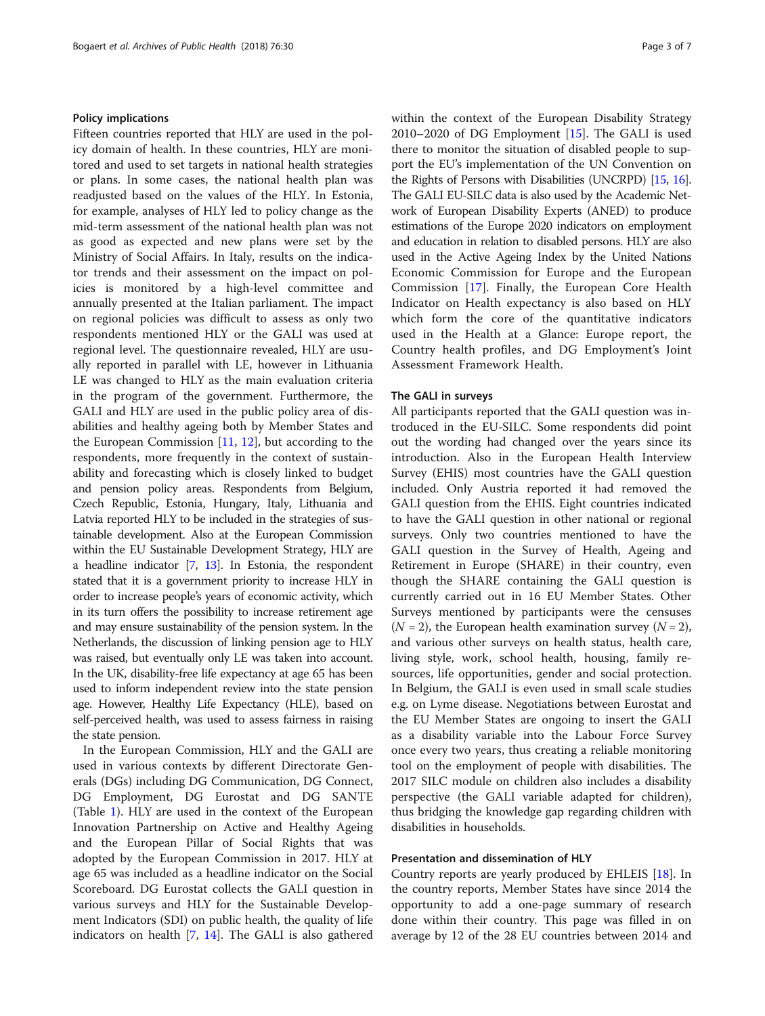## Policy implications

Fifteen countries reported that HLY are used in the policy domain of health. In these countries, HLY are monitored and used to set targets in national health strategies or plans. In some cases, the national health plan was readjusted based on the values of the HLY. In Estonia, for example, analyses of HLY led to policy change as the mid-term assessment of the national health plan was not as good as expected and new plans were set by the Ministry of Social Affairs. In Italy, results on the indicator trends and their assessment on the impact on policies is monitored by a high-level committee and annually presented at the Italian parliament. The impact on regional policies was difficult to assess as only two respondents mentioned HLY or the GALI was used at regional level. The questionnaire revealed, HLY are usually reported in parallel with LE, however in Lithuania LE was changed to HLY as the main evaluation criteria in the program of the government. Furthermore, the GALI and HLY are used in the public policy area of disabilities and healthy ageing both by Member States and the European Commission  $[11, 12]$  $[11, 12]$  $[11, 12]$  $[11, 12]$ , but according to the respondents, more frequently in the context of sustainability and forecasting which is closely linked to budget and pension policy areas. Respondents from Belgium, Czech Republic, Estonia, Hungary, Italy, Lithuania and Latvia reported HLY to be included in the strategies of sustainable development. Also at the European Commission within the EU Sustainable Development Strategy, HLY are a headline indicator [\[7](#page-5-0), [13\]](#page-6-0). In Estonia, the respondent stated that it is a government priority to increase HLY in order to increase people's years of economic activity, which in its turn offers the possibility to increase retirement age and may ensure sustainability of the pension system. In the Netherlands, the discussion of linking pension age to HLY was raised, but eventually only LE was taken into account. In the UK, disability-free life expectancy at age 65 has been used to inform independent review into the state pension age. However, Healthy Life Expectancy (HLE), based on self-perceived health, was used to assess fairness in raising the state pension.

In the European Commission, HLY and the GALI are used in various contexts by different Directorate Generals (DGs) including DG Communication, DG Connect, DG Employment, DG Eurostat and DG SANTE (Table [1\)](#page-3-0). HLY are used in the context of the European Innovation Partnership on Active and Healthy Ageing and the European Pillar of Social Rights that was adopted by the European Commission in 2017. HLY at age 65 was included as a headline indicator on the Social Scoreboard. DG Eurostat collects the GALI question in various surveys and HLY for the Sustainable Development Indicators (SDI) on public health, the quality of life indicators on health [[7,](#page-5-0) [14\]](#page-6-0). The GALI is also gathered within the context of the European Disability Strategy 2010–2020 of DG Employment [\[15](#page-6-0)]. The GALI is used there to monitor the situation of disabled people to support the EU's implementation of the UN Convention on the Rights of Persons with Disabilities (UNCRPD) [\[15,](#page-6-0) [16](#page-6-0)]. The GALI EU-SILC data is also used by the Academic Network of European Disability Experts (ANED) to produce estimations of the Europe 2020 indicators on employment and education in relation to disabled persons. HLY are also used in the Active Ageing Index by the United Nations Economic Commission for Europe and the European Commission [[17\]](#page-6-0). Finally, the European Core Health Indicator on Health expectancy is also based on HLY which form the core of the quantitative indicators used in the Health at a Glance: Europe report, the Country health profiles, and DG Employment's Joint Assessment Framework Health.

# The GALI in surveys

All participants reported that the GALI question was introduced in the EU-SILC. Some respondents did point out the wording had changed over the years since its introduction. Also in the European Health Interview Survey (EHIS) most countries have the GALI question included. Only Austria reported it had removed the GALI question from the EHIS. Eight countries indicated to have the GALI question in other national or regional surveys. Only two countries mentioned to have the GALI question in the Survey of Health, Ageing and Retirement in Europe (SHARE) in their country, even though the SHARE containing the GALI question is currently carried out in 16 EU Member States. Other Surveys mentioned by participants were the censuses  $(N = 2)$ , the European health examination survey  $(N = 2)$ , and various other surveys on health status, health care, living style, work, school health, housing, family resources, life opportunities, gender and social protection. In Belgium, the GALI is even used in small scale studies e.g. on Lyme disease. Negotiations between Eurostat and the EU Member States are ongoing to insert the GALI as a disability variable into the Labour Force Survey once every two years, thus creating a reliable monitoring tool on the employment of people with disabilities. The 2017 SILC module on children also includes a disability perspective (the GALI variable adapted for children), thus bridging the knowledge gap regarding children with disabilities in households.

# Presentation and dissemination of HLY

Country reports are yearly produced by EHLEIS [\[18](#page-6-0)]. In the country reports, Member States have since 2014 the opportunity to add a one-page summary of research done within their country. This page was filled in on average by 12 of the 28 EU countries between 2014 and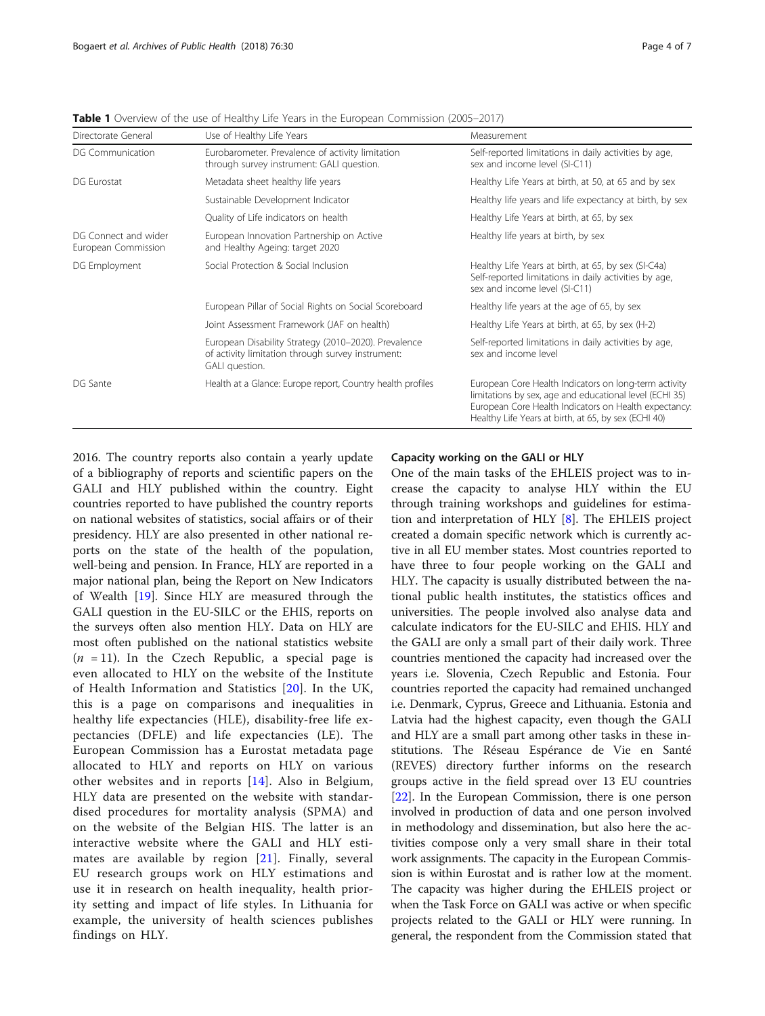| Directorate General                         | Use of Healthy Life Years                                                                                                   | Measurement                                                                                                                                                                                                                       |
|---------------------------------------------|-----------------------------------------------------------------------------------------------------------------------------|-----------------------------------------------------------------------------------------------------------------------------------------------------------------------------------------------------------------------------------|
| DG Communication                            | Eurobarometer. Prevalence of activity limitation<br>through survey instrument: GALI question.                               | Self-reported limitations in daily activities by age,<br>sex and income level (SI-C11)                                                                                                                                            |
| DG Eurostat                                 | Metadata sheet healthy life years                                                                                           | Healthy Life Years at birth, at 50, at 65 and by sex                                                                                                                                                                              |
|                                             | Sustainable Development Indicator                                                                                           | Healthy life years and life expectancy at birth, by sex                                                                                                                                                                           |
|                                             | Quality of Life indicators on health                                                                                        | Healthy Life Years at birth, at 65, by sex                                                                                                                                                                                        |
| DG Connect and wider<br>European Commission | European Innovation Partnership on Active<br>and Healthy Ageing: target 2020                                                | Healthy life years at birth, by sex                                                                                                                                                                                               |
| DG Employment                               | Social Protection & Social Inclusion                                                                                        | Healthy Life Years at birth, at 65, by sex (SI-C4a)<br>Self-reported limitations in daily activities by age,<br>sex and income level (SI-C11)                                                                                     |
|                                             | European Pillar of Social Rights on Social Scoreboard                                                                       | Healthy life years at the age of 65, by sex                                                                                                                                                                                       |
|                                             | Joint Assessment Framework (JAF on health)                                                                                  | Healthy Life Years at birth, at 65, by sex (H-2)                                                                                                                                                                                  |
|                                             | European Disability Strategy (2010-2020). Prevalence<br>of activity limitation through survey instrument:<br>GALI question. | Self-reported limitations in daily activities by age,<br>sex and income level                                                                                                                                                     |
| DG Sante                                    | Health at a Glance: Europe report, Country health profiles                                                                  | European Core Health Indicators on long-term activity<br>limitations by sex, age and educational level (ECHI 35)<br>European Core Health Indicators on Health expectancy:<br>Healthy Life Years at birth, at 65, by sex (ECHI 40) |

<span id="page-3-0"></span>**Table 1** Overview of the use of Healthy Life Years in the European Commission (2005–2017)

2016. The country reports also contain a yearly update of a bibliography of reports and scientific papers on the GALI and HLY published within the country. Eight countries reported to have published the country reports on national websites of statistics, social affairs or of their presidency. HLY are also presented in other national reports on the state of the health of the population, well-being and pension. In France, HLY are reported in a major national plan, being the Report on New Indicators of Wealth [[19\]](#page-6-0). Since HLY are measured through the GALI question in the EU-SILC or the EHIS, reports on the surveys often also mention HLY. Data on HLY are most often published on the national statistics website  $(n = 11)$ . In the Czech Republic, a special page is even allocated to HLY on the website of the Institute of Health Information and Statistics [[20](#page-6-0)]. In the UK, this is a page on comparisons and inequalities in healthy life expectancies (HLE), disability-free life expectancies (DFLE) and life expectancies (LE). The European Commission has a Eurostat metadata page allocated to HLY and reports on HLY on various other websites and in reports [[14](#page-6-0)]. Also in Belgium, HLY data are presented on the website with standardised procedures for mortality analysis (SPMA) and on the website of the Belgian HIS. The latter is an interactive website where the GALI and HLY estimates are available by region [[21\]](#page-6-0). Finally, several EU research groups work on HLY estimations and use it in research on health inequality, health priority setting and impact of life styles. In Lithuania for example, the university of health sciences publishes findings on HLY.

# Capacity working on the GALI or HLY

One of the main tasks of the EHLEIS project was to increase the capacity to analyse HLY within the EU through training workshops and guidelines for estimation and interpretation of HLY [\[8](#page-5-0)]. The EHLEIS project created a domain specific network which is currently active in all EU member states. Most countries reported to have three to four people working on the GALI and HLY. The capacity is usually distributed between the national public health institutes, the statistics offices and universities. The people involved also analyse data and calculate indicators for the EU-SILC and EHIS. HLY and the GALI are only a small part of their daily work. Three countries mentioned the capacity had increased over the years i.e. Slovenia, Czech Republic and Estonia. Four countries reported the capacity had remained unchanged i.e. Denmark, Cyprus, Greece and Lithuania. Estonia and Latvia had the highest capacity, even though the GALI and HLY are a small part among other tasks in these institutions. The Réseau Espérance de Vie en Santé (REVES) directory further informs on the research groups active in the field spread over 13 EU countries [[22\]](#page-6-0). In the European Commission, there is one person involved in production of data and one person involved in methodology and dissemination, but also here the activities compose only a very small share in their total work assignments. The capacity in the European Commission is within Eurostat and is rather low at the moment. The capacity was higher during the EHLEIS project or when the Task Force on GALI was active or when specific projects related to the GALI or HLY were running. In general, the respondent from the Commission stated that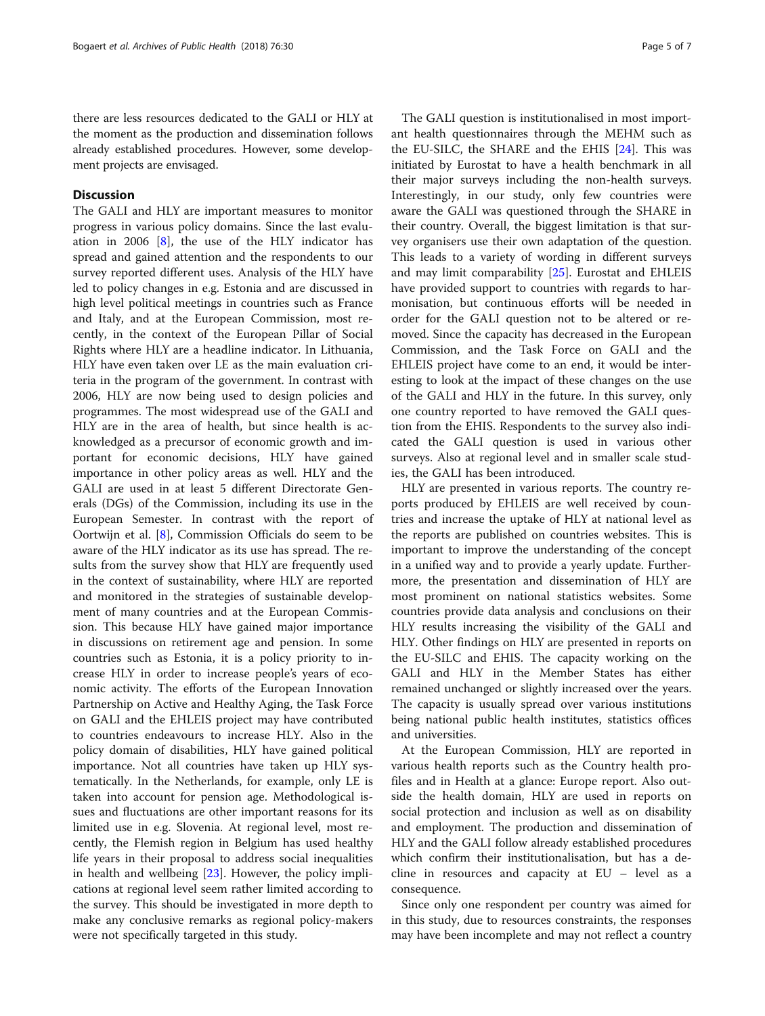there are less resources dedicated to the GALI or HLY at the moment as the production and dissemination follows already established procedures. However, some development projects are envisaged.

# **Discussion**

The GALI and HLY are important measures to monitor progress in various policy domains. Since the last evaluation in 2006  $[8]$  $[8]$ , the use of the HLY indicator has spread and gained attention and the respondents to our survey reported different uses. Analysis of the HLY have led to policy changes in e.g. Estonia and are discussed in high level political meetings in countries such as France and Italy, and at the European Commission, most recently, in the context of the European Pillar of Social Rights where HLY are a headline indicator. In Lithuania, HLY have even taken over LE as the main evaluation criteria in the program of the government. In contrast with 2006, HLY are now being used to design policies and programmes. The most widespread use of the GALI and HLY are in the area of health, but since health is acknowledged as a precursor of economic growth and important for economic decisions, HLY have gained importance in other policy areas as well. HLY and the GALI are used in at least 5 different Directorate Generals (DGs) of the Commission, including its use in the European Semester. In contrast with the report of Oortwijn et al. [\[8](#page-5-0)], Commission Officials do seem to be aware of the HLY indicator as its use has spread. The results from the survey show that HLY are frequently used in the context of sustainability, where HLY are reported and monitored in the strategies of sustainable development of many countries and at the European Commission. This because HLY have gained major importance in discussions on retirement age and pension. In some countries such as Estonia, it is a policy priority to increase HLY in order to increase people's years of economic activity. The efforts of the European Innovation Partnership on Active and Healthy Aging, the Task Force on GALI and the EHLEIS project may have contributed to countries endeavours to increase HLY. Also in the policy domain of disabilities, HLY have gained political importance. Not all countries have taken up HLY systematically. In the Netherlands, for example, only LE is taken into account for pension age. Methodological issues and fluctuations are other important reasons for its limited use in e.g. Slovenia. At regional level, most recently, the Flemish region in Belgium has used healthy life years in their proposal to address social inequalities in health and wellbeing [\[23\]](#page-6-0). However, the policy implications at regional level seem rather limited according to the survey. This should be investigated in more depth to make any conclusive remarks as regional policy-makers were not specifically targeted in this study.

The GALI question is institutionalised in most important health questionnaires through the MEHM such as the EU-SILC, the SHARE and the EHIS [[24\]](#page-6-0). This was initiated by Eurostat to have a health benchmark in all their major surveys including the non-health surveys. Interestingly, in our study, only few countries were aware the GALI was questioned through the SHARE in their country. Overall, the biggest limitation is that survey organisers use their own adaptation of the question. This leads to a variety of wording in different surveys and may limit comparability [\[25\]](#page-6-0). Eurostat and EHLEIS have provided support to countries with regards to harmonisation, but continuous efforts will be needed in order for the GALI question not to be altered or removed. Since the capacity has decreased in the European Commission, and the Task Force on GALI and the EHLEIS project have come to an end, it would be interesting to look at the impact of these changes on the use of the GALI and HLY in the future. In this survey, only one country reported to have removed the GALI question from the EHIS. Respondents to the survey also indicated the GALI question is used in various other surveys. Also at regional level and in smaller scale studies, the GALI has been introduced.

HLY are presented in various reports. The country reports produced by EHLEIS are well received by countries and increase the uptake of HLY at national level as the reports are published on countries websites. This is important to improve the understanding of the concept in a unified way and to provide a yearly update. Furthermore, the presentation and dissemination of HLY are most prominent on national statistics websites. Some countries provide data analysis and conclusions on their HLY results increasing the visibility of the GALI and HLY. Other findings on HLY are presented in reports on the EU-SILC and EHIS. The capacity working on the GALI and HLY in the Member States has either remained unchanged or slightly increased over the years. The capacity is usually spread over various institutions being national public health institutes, statistics offices and universities.

At the European Commission, HLY are reported in various health reports such as the Country health profiles and in Health at a glance: Europe report. Also outside the health domain, HLY are used in reports on social protection and inclusion as well as on disability and employment. The production and dissemination of HLY and the GALI follow already established procedures which confirm their institutionalisation, but has a decline in resources and capacity at EU – level as a consequence.

Since only one respondent per country was aimed for in this study, due to resources constraints, the responses may have been incomplete and may not reflect a country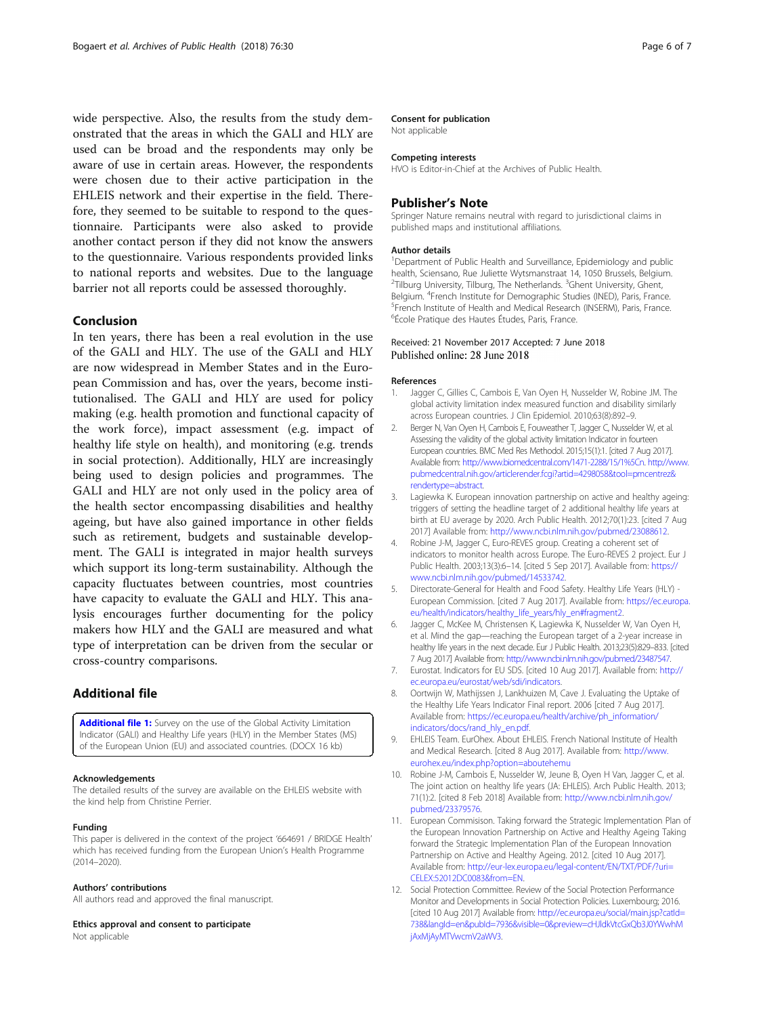<span id="page-5-0"></span>wide perspective. Also, the results from the study demonstrated that the areas in which the GALI and HLY are used can be broad and the respondents may only be aware of use in certain areas. However, the respondents were chosen due to their active participation in the EHLEIS network and their expertise in the field. Therefore, they seemed to be suitable to respond to the questionnaire. Participants were also asked to provide another contact person if they did not know the answers to the questionnaire. Various respondents provided links to national reports and websites. Due to the language barrier not all reports could be assessed thoroughly.

# Conclusion

In ten years, there has been a real evolution in the use of the GALI and HLY. The use of the GALI and HLY are now widespread in Member States and in the European Commission and has, over the years, become institutionalised. The GALI and HLY are used for policy making (e.g. health promotion and functional capacity of the work force), impact assessment (e.g. impact of healthy life style on health), and monitoring (e.g. trends in social protection). Additionally, HLY are increasingly being used to design policies and programmes. The GALI and HLY are not only used in the policy area of the health sector encompassing disabilities and healthy ageing, but have also gained importance in other fields such as retirement, budgets and sustainable development. The GALI is integrated in major health surveys which support its long-term sustainability. Although the capacity fluctuates between countries, most countries have capacity to evaluate the GALI and HLY. This analysis encourages further documenting for the policy makers how HLY and the GALI are measured and what type of interpretation can be driven from the secular or cross-country comparisons.

# Additional file

[Additional file 1:](https://doi.org/10.1186/s13690-018-0279-z) Survey on the use of the Global Activity Limitation Indicator (GALI) and Healthy Life years (HLY) in the Member States (MS) of the European Union (EU) and associated countries. (DOCX 16 kb)

#### Acknowledgements

The detailed results of the survey are available on the EHLEIS website with the kind help from Christine Perrier.

## Funding

This paper is delivered in the context of the project '664691 / BRIDGE Health' which has received funding from the European Union's Health Programme (2014–2020).

## Authors' contributions

All authors read and approved the final manuscript.

#### Ethics approval and consent to participate

Not applicable

#### Consent for publication

Not applicable

#### Competing interests

HVO is Editor-in-Chief at the Archives of Public Health.

# Publisher's Note

Springer Nature remains neutral with regard to jurisdictional claims in published maps and institutional affiliations.

#### Author details

<sup>1</sup>Department of Public Health and Surveillance, Epidemiology and public health, Sciensano, Rue Juliette Wytsmanstraat 14, 1050 Brussels, Belgium. <sup>2</sup>Tilburg University, Tilburg, The Netherlands. <sup>3</sup>Ghent University, Ghent, Belgium. <sup>4</sup> French Institute for Demographic Studies (INED), Paris, France.<br><sup>5</sup> French Institute of Health and Medical Besearch (INSERM). Paris, France. <sup>5</sup>French Institute of Health and Medical Research (INSERM), Paris, France. 6 École Pratique des Hautes Études, Paris, France.

# Received: 21 November 2017 Accepted: 7 June 2018 Published online: 28 June 2018

#### References

- 1. Jagger C, Gillies C, Cambois E, Van Oyen H, Nusselder W, Robine JM. The global activity limitation index measured function and disability similarly across European countries. J Clin Epidemiol. 2010;63(8):892–9.
- 2. Berger N, Van Oyen H, Cambois E, Fouweather T, Jagger C, Nusselder W, et al. Assessing the validity of the global activity limitation Indicator in fourteen European countries. BMC Med Res Methodol. 2015;15(1):1. [cited 7 Aug 2017]. Available from: [http://www.biomedcentral.com/1471-2288/15/1%5Cn.](http://www.biomedcentral.com/1471-2288/15/1/n) [http://www.](http://www.pubmedcentral.nih.gov/articlerender.fcgi?artid=4298058&tool=pmcentrez&rendertype=abstract) [pubmedcentral.nih.gov/articlerender.fcgi?artid=4298058&tool=pmcentrez&](http://www.pubmedcentral.nih.gov/articlerender.fcgi?artid=4298058&tool=pmcentrez&rendertype=abstract) [rendertype=abstract.](http://www.pubmedcentral.nih.gov/articlerender.fcgi?artid=4298058&tool=pmcentrez&rendertype=abstract)
- 3. Lagiewka K. European innovation partnership on active and healthy ageing: triggers of setting the headline target of 2 additional healthy life years at birth at EU average by 2020. Arch Public Health. 2012;70(1):23. [cited 7 Aug 2017] Available from: [http://www.ncbi.nlm.nih.gov/pubmed/23088612.](http://www.ncbi.nlm.nih.gov/pubmed/23088612)
- 4. Robine J-M, Jagger C, Euro-REVES group. Creating a coherent set of indicators to monitor health across Europe. The Euro-REVES 2 project. Eur J Public Health. 2003;13(3):6–14. [cited 5 Sep 2017]. Available from: [https://](https://www.ncbi.nlm.nih.gov/pubmed/14533742) [www.ncbi.nlm.nih.gov/pubmed/14533742.](https://www.ncbi.nlm.nih.gov/pubmed/14533742)
- 5. Directorate-General for Health and Food Safety. Healthy Life Years (HLY) European Commission. [cited 7 Aug 2017]. Available from: [https://ec.europa.](https://ec.europa.eu/health/indicators/healthy_life_years/hly_en#fragment2) [eu/health/indicators/healthy\\_life\\_years/hly\\_en#fragment2.](https://ec.europa.eu/health/indicators/healthy_life_years/hly_en#fragment2)
- 6. Jagger C, McKee M, Christensen K, Lagiewka K, Nusselder W, Van Oyen H, et al. Mind the gap—reaching the European target of a 2-year increase in healthy life years in the next decade. Eur J Public Health. 2013;23(5):829–833. [cited 7 Aug 2017] Available from: [http://www.ncbi.nlm.nih.gov/pubmed/23487547.](http://www.ncbi.nlm.nih.gov/pubmed/23487547)
- 7. Eurostat. Indicators for EU SDS. [cited 10 Aug 2017]. Available from: [http://](http://ec.europa.eu/eurostat/web/sdi/indicators) [ec.europa.eu/eurostat/web/sdi/indicators](http://ec.europa.eu/eurostat/web/sdi/indicators).
- 8. Oortwijn W, Mathijssen J, Lankhuizen M, Cave J. Evaluating the Uptake of the Healthy Life Years Indicator Final report. 2006 [cited 7 Aug 2017]. Available from: [https://ec.europa.eu/health/archive/ph\\_information/](https://ec.europa.eu/health/archive/ph_information/indicators/docs/rand_hly_en.pdf) [indicators/docs/rand\\_hly\\_en.pdf.](https://ec.europa.eu/health/archive/ph_information/indicators/docs/rand_hly_en.pdf)
- 9. EHLEIS Team. EurOhex. About EHLEIS. French National Institute of Health and Medical Research. [cited 8 Aug 2017]. Available from: [http://www.](http://www.eurohex.eu/index.php?option=aboutehemu) [eurohex.eu/index.php?option=aboutehemu](http://www.eurohex.eu/index.php?option=aboutehemu)
- 10. Robine J-M, Cambois E, Nusselder W, Jeune B, Oyen H Van, Jagger C, et al. The joint action on healthy life years (JA: EHLEIS). Arch Public Health. 2013; 71(1):2. [cited 8 Feb 2018] Available from: [http://www.ncbi.nlm.nih.gov/](http://www.ncbi.nlm.nih.gov/pubmed/23379576) [pubmed/23379576.](http://www.ncbi.nlm.nih.gov/pubmed/23379576)
- 11. European Commisison. Taking forward the Strategic Implementation Plan of the European Innovation Partnership on Active and Healthy Ageing Taking forward the Strategic Implementation Plan of the European Innovation Partnership on Active and Healthy Ageing. 2012. [cited 10 Aug 2017]. Available from: [http://eur-lex.europa.eu/legal-content/EN/TXT/PDF/?uri=](http://eur-lex.europa.eu/legal-content/EN/TXT/PDF/?uri=CELEX:52012DC0083&from=EN) [CELEX:52012DC0083&from=EN](http://eur-lex.europa.eu/legal-content/EN/TXT/PDF/?uri=CELEX:52012DC0083&from=EN).
- 12. Social Protection Committee. Review of the Social Protection Performance Monitor and Developments in Social Protection Policies. Luxembourg; 2016. [cited 10 Aug 2017] Available from: [http://ec.europa.eu/social/main.jsp?catId=](http://ec.europa.eu/social/main.jsp?catId=738&langId=en&pubId=7936&visible=0&preview=cHJldkVtcGxQb3J0YWwhMjAxMjAyMTVwcmV2aWV3) [738&langId=en&pubId=7936&visible=0&preview=cHJldkVtcGxQb3J0YWwhM](http://ec.europa.eu/social/main.jsp?catId=738&langId=en&pubId=7936&visible=0&preview=cHJldkVtcGxQb3J0YWwhMjAxMjAyMTVwcmV2aWV3) [jAxMjAyMTVwcmV2aWV3](http://ec.europa.eu/social/main.jsp?catId=738&langId=en&pubId=7936&visible=0&preview=cHJldkVtcGxQb3J0YWwhMjAxMjAyMTVwcmV2aWV3).